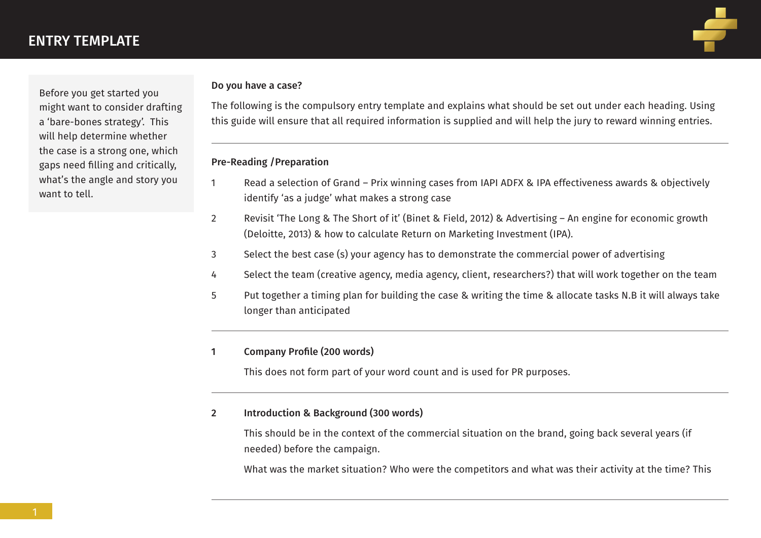Before you get started you might want to consider drafting a 'bare-bones strategy'. This will help determine whether the case is a strong one, which gaps need filling and critically, what's the angle and story you want to tell.

#### Do you have a case?

The following is the compulsory entry template and explains what should be set out under each heading. Using this guide will ensure that all required information is supplied and will help the jury to reward winning entries.

## Pre-Reading /Preparation

- 1 Read a selection of Grand Prix winning cases from IAPI ADFX & IPA effectiveness awards & objectively identify 'as a judge' what makes a strong case
- 2 Revisit 'The Long & The Short of it' (Binet & Field, 2012) & Advertising An engine for economic growth (Deloitte, 2013) & how to calculate Return on Marketing Investment (IPA).
- 3 Select the best case (s) your agency has to demonstrate the commercial power of advertising
- 4 Select the team (creative agency, media agency, client, researchers?) that will work together on the team
- 5 Put together a timing plan for building the case & writing the time & allocate tasks N.B it will always take longer than anticipated

## 1 Company Profile (200 words)

This does not form part of your word count and is used for PR purposes.

## 2 Introduction & Background (300 words)

 This should be in the context of the commercial situation on the brand, going back several years (if needed) before the campaign.

What was the market situation? Who were the competitors and what was their activity at the time? This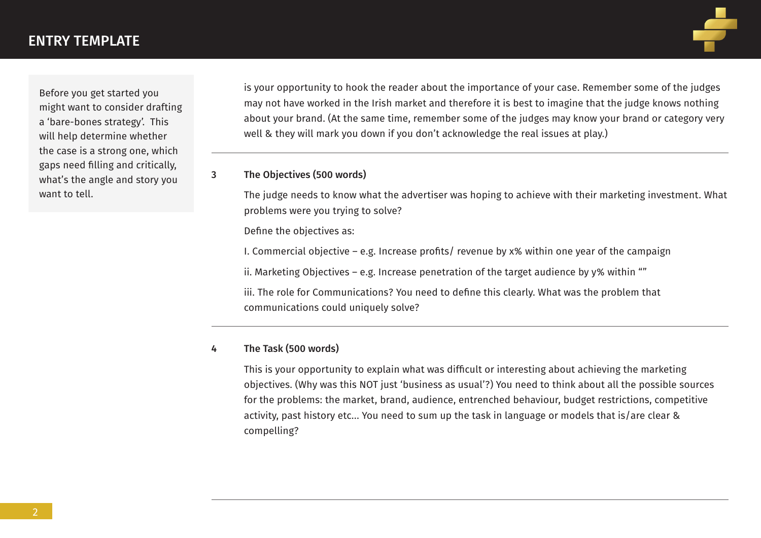Before you get started you might want to consider drafting a 'bare-bones strategy'. This will help determine whether the case is a strong one, which gaps need filling and critically, what's the angle and story you want to tell.

 is your opportunity to hook the reader about the importance of your case. Remember some of the judges may not have worked in the Irish market and therefore it is best to imagine that the judge knows nothing about your brand. (At the same time, remember some of the judges may know your brand or category very well & they will mark you down if you don't acknowledge the real issues at play.)

### 3 The Objectives (500 words)

 The judge needs to know what the advertiser was hoping to achieve with their marketing investment. What problems were you trying to solve?

Define the objectives as:

I. Commercial objective – e.g. Increase profits/ revenue by x% within one year of the campaign

ii. Marketing Objectives – e.g. Increase penetration of the target audience by y% within ""

 iii. The role for Communications? You need to define this clearly. What was the problem that communications could uniquely solve?

## 4 The Task (500 words)

 This is your opportunity to explain what was difficult or interesting about achieving the marketing objectives. (Why was this NOT just 'business as usual'?) You need to think about all the possible sources for the problems: the market, brand, audience, entrenched behaviour, budget restrictions, competitive activity, past history etc… You need to sum up the task in language or models that is/are clear & compelling?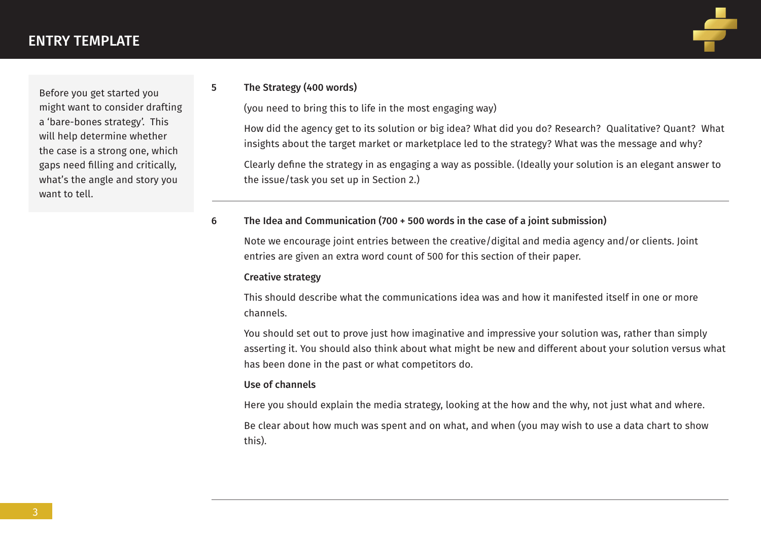Before you get started you might want to consider drafting a 'bare-bones strategy'. This will help determine whether the case is a strong one, which gaps need filling and critically, what's the angle and story you want to tell.

## 5 The Strategy (400 words)

(you need to bring this to life in the most engaging way)

 How did the agency get to its solution or big idea? What did you do? Research? Qualitative? Quant? What insights about the target market or marketplace led to the strategy? What was the message and why?

 Clearly define the strategy in as engaging a way as possible. (Ideally your solution is an elegant answer to the issue/task you set up in Section 2.)

## 6 The Idea and Communication (700 + 500 words in the case of a joint submission)

 Note we encourage joint entries between the creative/digital and media agency and/or clients. Joint entries are given an extra word count of 500 for this section of their paper.

## Creative strategy

 This should describe what the communications idea was and how it manifested itself in one or more channels.

 You should set out to prove just how imaginative and impressive your solution was, rather than simply asserting it. You should also think about what might be new and different about your solution versus what has been done in the past or what competitors do.

## Use of channels

Here you should explain the media strategy, looking at the how and the why, not just what and where.

 Be clear about how much was spent and on what, and when (you may wish to use a data chart to show this).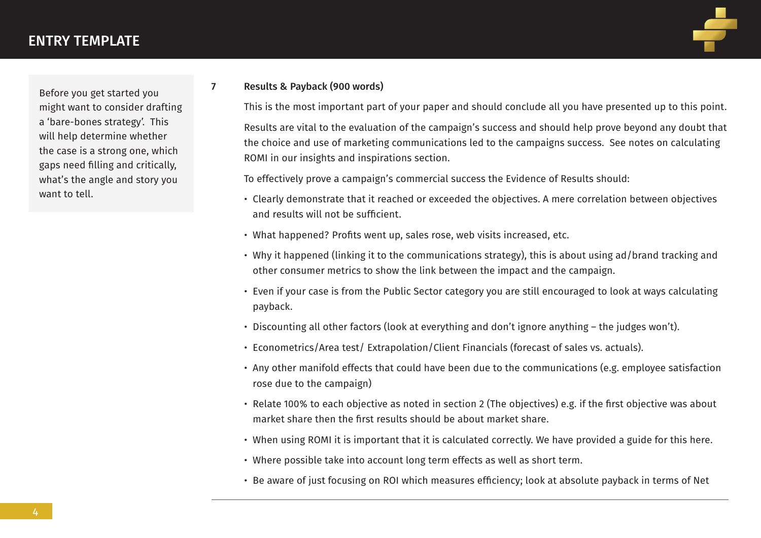Before you get started you might want to consider drafting a 'bare-bones strategy'. This will help determine whether the case is a strong one, which gaps need filling and critically, what's the angle and story you want to tell.

### 7 Results & Payback (900 words)

 This is the most important part of your paper and should conclude all you have presented up to this point. Results are vital to the evaluation of the campaign's success and should help prove beyond any doubt that the choice and use of marketing communications led to the campaigns success. See notes on calculating ROMI in our insights and inspirations section.

To effectively prove a campaign's commercial success the Evidence of Results should:

- Clearly demonstrate that it reached or exceeded the objectives. A mere correlation between objectives and results will not be sufficient.
- What happened? Profits went up, sales rose, web visits increased, etc.
- Why it happened (linking it to the communications strategy), this is about using ad/brand tracking and other consumer metrics to show the link between the impact and the campaign.
- Even if your case is from the Public Sector category you are still encouraged to look at ways calculating payback.
- Discounting all other factors (look at everything and don't ignore anything the judges won't).
- Econometrics/Area test/ Extrapolation/Client Financials (forecast of sales vs. actuals).
- Any other manifold effects that could have been due to the communications (e.g. employee satisfaction rose due to the campaign)
- Relate 100% to each objective as noted in section 2 (The objectives) e.g. if the first objective was about market share then the first results should be about market share.
- When using ROMI it is important that it is calculated correctly. We have provided a guide for this here.
- Where possible take into account long term effects as well as short term.
- Be aware of just focusing on ROI which measures efficiency; look at absolute payback in terms of Net